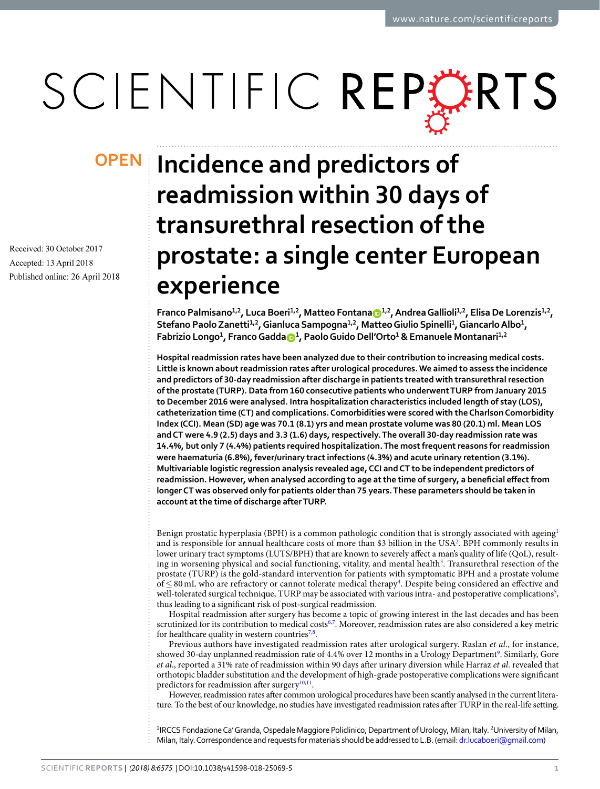# SCIENTIFIC REPERTS

Received: 30 October 2017 Accepted: 13 April 2018 Published online: 26 April 2018

## **OPEN** Incidence and predictors of **readmission within 30 days of transurethral resection of the prostate: a single center European experience**

**Franco Palmisano1,2, Luca Boeri1,2, Matteo Fontana [1](http://orcid.org/0000-0002-7017-6576),2, Andrea Gallioli 1,2, Elisa De Lorenzis1,2, Stefano Paolo Zanetti1,2, Gianluca Sampogna1,2, Matteo Giulio Spinelli<sup>1</sup> , Giancarlo Albo1 , Fabrizio Longo1 , Franco Gadd[a](http://orcid.org/0000-0001-6001-1252) <sup>1</sup> , Paolo Guido Dell'Orto<sup>1</sup> & Emanuele Montanari1,2**

**Hospital readmission rates have been analyzed due to their contribution to increasing medical costs. Little is known about readmission rates after urological procedures. We aimed to assess the incidence and predictors of 30-day readmission after discharge in patients treated with transurethral resection of the prostate (TURP). Data from 160 consecutive patients who underwent TURP from January 2015 to December 2016 were analysed. Intra hospitalization characteristics included length of stay (LOS), catheterization time (CT) and complications. Comorbidities were scored with the Charlson Comorbidity Index (CCI). Mean (SD) age was 70.1 (8.1) yrs and mean prostate volume was 80 (20.1) ml. Mean LOS and CT were 4.9 (2.5) days and 3.3 (1.6) days, respectively. The overall 30-day readmission rate was 14.4%, but only 7 (4.4%) patients required hospitalization. The most frequent reasons for readmission were haematuria (6.8%), fever/urinary tract infections (4.3%) and acute urinary retention (3.1%). Multivariable logistic regression analysis revealed age, CCI and CT to be independent predictors of readmission. However, when analysed according to age at the time of surgery, a benefcial efect from longer CT was observed only for patients older than 75 years. These parameters should be taken in account at the time of discharge after TURP.**

Benign prostatic hyperplasia (BPH) is a common pathologic condition that is strongly associated with ageing<sup>[1](#page-5-0)</sup> and is responsible for annual healthcare costs of more than \$3 billion in the USA<sup>2</sup>. BPH commonly results in lower urinary tract symptoms (LUTS/BPH) that are known to severely afect a man's quality of life (QoL), result-ing in worsening physical and social functioning, vitality, and mental health<sup>[3](#page-5-2)</sup>. Transurethral resection of the prostate (TURP) is the gold-standard intervention for patients with symptomatic BPH and a prostate volume of ≤ 80 mL who are refractory or cannot tolerate medical therapy<sup>[4](#page-5-3)</sup>. Despite being considered an effective and well-tolerated surgical technique, TURP may be associated with various intra- and postoperative complications<sup>[5](#page-5-4)</sup>, thus leading to a signifcant risk of post-surgical readmission.

Hospital readmission afer surgery has become a topic of growing interest in the last decades and has been scrutinized for its contribution to medical costs<sup>[6](#page-5-5),[7](#page-5-6)</sup>. Moreover, readmission rates are also considered a key metric for healthcare quality in western countries<sup>7[,8](#page-5-7)</sup>.

Previous authors have investigated readmission rates afer urological surgery. Raslan *et al*., for instance, showed 30-day unplanned readmission rate of 4.4% over 12 months in a Urology Department<sup>[9](#page-5-8)</sup>. Similarly, Gore *et al*., reported a 31% rate of readmission within 90 days afer urinary diversion while Harraz *et al*. revealed that orthotopic bladder substitution and the development of high-grade postoperative complications were signifcant predictors for readmission after surgery $10,11$ .

However, readmission rates afer common urological procedures have been scantly analysed in the current literature. To the best of our knowledge, no studies have investigated readmission rates afer TURP in the real-life setting.

<sup>1</sup>IRCCS Fondazione Ca' Granda, Ospedale Maggiore Policlinico, Department of Urology, Milan, Italy. <sup>2</sup>University of Milan, Milan, Italy. Correspondence and requests for materials should be addressed to L.B. (email: [dr.lucaboeri@gmail.com](mailto:dr.lucaboeri@gmail.com))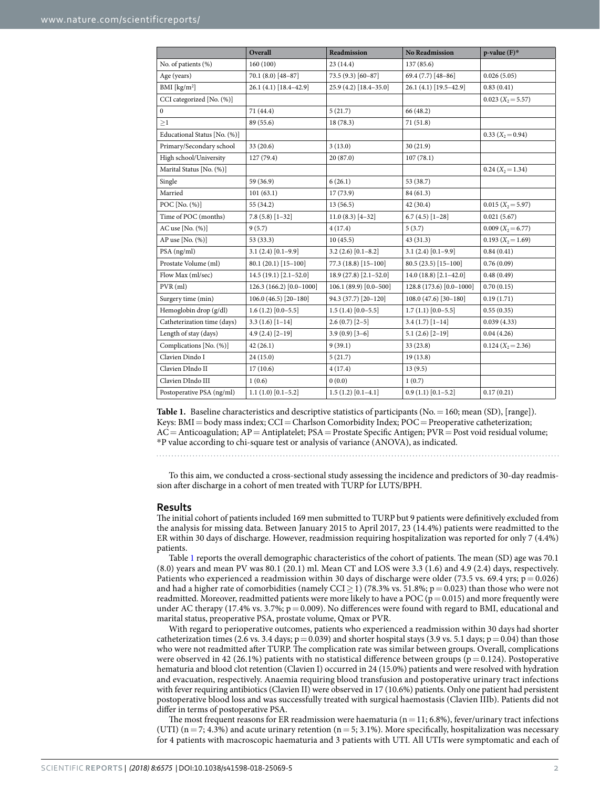<span id="page-1-0"></span>

|                              | Overall                  | Readmission             | <b>No Readmission</b>    | $p$ -value $(F)^*$   |
|------------------------------|--------------------------|-------------------------|--------------------------|----------------------|
| No. of patients (%)          | 160 (100)                | 23 (14.4)               | 137 (85.6)               |                      |
| Age (years)                  | 70.1 (8.0) [48-87]       | 73.5 (9.3) [60-87]      | 69.4 (7.7) [48-86]       | 0.026(5.05)          |
| BMI [ $\text{kg/m}^2$ ]      | 26.1 (4.1) [18.4-42.9]   | 25.9 (4.2) [18.4-35.0]  | 26.1 (4.1) [19.5-42.9]   | 0.83(0.41)           |
| CCI categorized [No. (%)]    |                          |                         |                          | $0.023 (X_2 = 5.57)$ |
| $\boldsymbol{0}$             | 71 (44.4)                | 5(21.7)                 | 66 (48.2)                |                      |
| $\geq$ 1                     | 89 (55.6)                | 18 (78.3)               | 71(51.8)                 |                      |
| Educational Status [No. (%)] |                          |                         |                          | $0.33(X_2=0.94)$     |
| Primary/Secondary school     | 33(20.6)                 | 3(13.0)                 | 30(21.9)                 |                      |
| High school/University       | 127 (79.4)               | 20 (87.0)               | 107(78.1)                |                      |
| Marital Status [No. (%)]     |                          |                         |                          | $0.24 (X_2 = 1.34)$  |
| Single                       | 59 (36.9)                | 6(26.1)                 | 53 (38.7)                |                      |
| Married                      | 101(63.1)                | 17 (73.9)               | 84 (61.3)                |                      |
| POC [No. (%)]                | 55 (34.2)                | 13 (56.5)               | 42 (30.4)                | $0.015 (X_2 = 5.97)$ |
| Time of POC (months)         | $7.8(5.8)[1-32]$         | $11.0(8.3)$ [4-32]      | $6.7(4.5)$ [1-28]        | 0.021(5.67)          |
| AC use $[No. (%)]$           | 9(5.7)                   | 4(17.4)                 | 5(3.7)                   | $0.009 (X_2 = 6.77)$ |
| AP use [No. (%)]             | 53 (33.3)                | 10(45.5)                | 43 (31.3)                | $0.193 (X_2 = 1.69)$ |
| PSA (ng/ml)                  | $3.1(2.4)[0.1-9.9]$      | $3.2(2.6)$ [0.1-8.2]    | $3.1(2.4)[0.1-9.9]$      | 0.84(0.41)           |
| Prostate Volume (ml)         | $80.1(20.1)[15-100]$     | 77.3 (18.8) [15-100]    | $80.5(23.5)[15-100]$     | 0.76(0.09)           |
| Flow Max (ml/sec)            | $14.5(19.1)[2.1-52.0]$   | $18.9(27.8)$ [2.1-52.0] | $14.0(18.8)$ [2.1-42.0]  | 0.48(0.49)           |
| $PVR$ (ml)                   | 126.3 (166.2) [0.0-1000] | 106.1 (89.9) [0.0-500]  | 128.8 (173.6) [0.0-1000] | 0.70(0.15)           |
| Surgery time (min)           | $106.0(46.5)[20-180]$    | 94.3 (37.7) [20-120]    | $108.0(47.6)[30-180]$    | 0.19(1.71)           |
| Hemoglobin drop (g/dl)       | $1.6(1.2)[0.0-5.5]$      | $1.5(1.4)[0.0-5.5]$     | $1.7(1.1)[0.0-5.5]$      | 0.55(0.35)           |
| Catheterization time (days)  | $3.3(1.6)[1-14]$         | $2.6(0.7)[2-5]$         | $3.4(1.7)[1-14]$         | 0.039(4.33)          |
| Length of stay (days)        | $4.9(2.4)[2-19]$         | $3.9(0.9)$ [3-6]        | $5.1(2.6)$ [2-19]        | 0.04(4.26)           |
| Complications [No. (%)]      | 42(26.1)                 | 9(39.1)                 | 33 (23.8)                | $0.124 (X_2 = 2.36)$ |
| Clavien Dindo I              | 24(15.0)                 | 5(21.7)                 | 19(13.8)                 |                      |
| Clavien DIndo II             | 17(10.6)                 | 4(17.4)                 | 13(9.5)                  |                      |
| Clavien DIndo III            | 1(0.6)                   | 0(0.0)                  | 1(0.7)                   |                      |
| Postoperative PSA (ng/ml)    | $1.1(1.0)[0.1-5.2]$      | $1.5(1.2)[0.1-4.1]$     | $0.9(1.1)$ $[0.1-5.2]$   | 0.17(0.21)           |

**Table 1.** Baseline characteristics and descriptive statistics of participants (No. = 160; mean (SD), [range]). Keys: BMI=body mass index; CCI=Charlson Comorbidity Index; POC=Preoperative catheterization; AC=Anticoagulation; AP=Antiplatelet; PSA=Prostate Specific Antigen; PVR=Post void residual volume; \*P value according to chi-square test or analysis of variance (ANOVA), as indicated.

To this aim, we conducted a cross-sectional study assessing the incidence and predictors of 30-day readmission afer discharge in a cohort of men treated with TURP for LUTS/BPH.

#### **Results**

The initial cohort of patients included 169 men submitted to TURP but 9 patients were definitively excluded from the analysis for missing data. Between January 2015 to April 2017, 23 (14.4%) patients were readmitted to the ER within 30 days of discharge. However, readmission requiring hospitalization was reported for only 7 (4.4%) patients.

Table [1](#page-1-0) reports the overall demographic characteristics of the cohort of patients. The mean (SD) age was 70.1 (8.0) years and mean PV was 80.1 (20.1) ml. Mean CT and LOS were 3.3 (1.6) and 4.9 (2.4) days, respectively. Patients who experienced a readmission within 30 days of discharge were older (73.5 vs. 69.4 yrs;  $p = 0.026$ ) and had a higher rate of comorbidities (namely CCI > 1) (78.3% vs. 51.8%;  $p = 0.023$ ) than those who were not readmitted. Moreover, readmitted patients were more likely to have a POC ( $p=0.015$ ) and more frequently were under AC therapy (17.4% vs. 3.7%;  $p = 0.009$ ). No differences were found with regard to BMI, educational and marital status, preoperative PSA, prostate volume, Qmax or PVR.

With regard to perioperative outcomes, patients who experienced a readmission within 30 days had shorter catheterization times (2.6 vs. 3.4 days;  $p=0.039$ ) and shorter hospital stays (3.9 vs. 5.1 days;  $p=0.04$ ) than those who were not readmitted after TURP. The complication rate was similar between groups. Overall, complications were observed in 42 (26.1%) patients with no statistical difference between groups ( $p=0.124$ ). Postoperative hematuria and blood clot retention (Clavien I) occurred in 24 (15.0%) patients and were resolved with hydration and evacuation, respectively. Anaemia requiring blood transfusion and postoperative urinary tract infections with fever requiring antibiotics (Clavien II) were observed in 17 (10.6%) patients. Only one patient had persistent postoperative blood loss and was successfully treated with surgical haemostasis (Clavien IIIb). Patients did not difer in terms of postoperative PSA.

The most frequent reasons for ER readmission were haematuria ( $n=11$ ; 6.8%), fever/urinary tract infections (UTI) ( $n=7$ ; 4.3%) and acute urinary retention ( $n=5$ ; 3.1%). More specifically, hospitalization was necessary for 4 patients with macroscopic haematuria and 3 patients with UTI. All UTIs were symptomatic and each of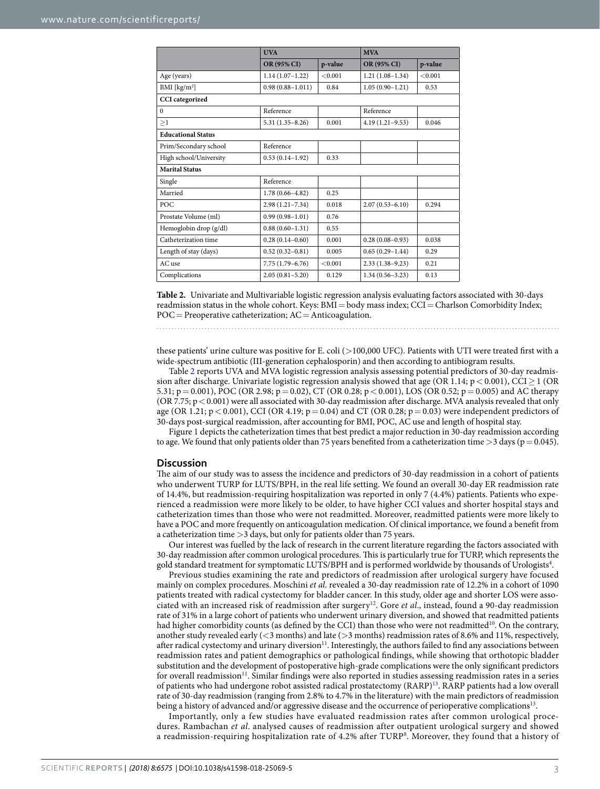<span id="page-2-0"></span>

|                           | <b>UVA</b>           |         |                     | <b>MVA</b> |  |
|---------------------------|----------------------|---------|---------------------|------------|--|
|                           | OR (95% CI)          | p-value | OR (95% CI)         | p-value    |  |
| Age (years)               | $1.14(1.07-1.22)$    | < 0.001 | $1.21(1.08-1.34)$   | < 0.001    |  |
| BMI [ $\text{kg/m}^2$ ]   | $0.98(0.88 - 1.011)$ | 0.84    | $1.05(0.90-1.21)$   | 0.53       |  |
| <b>CCI</b> categorized    |                      |         |                     |            |  |
| $\mathbf{0}$              | Reference            |         | Reference           |            |  |
| $\geq$ 1                  | $5.31(1.35 - 8.26)$  | 0.001   | $4.19(1.21-9.53)$   | 0.046      |  |
| <b>Educational Status</b> |                      |         |                     |            |  |
| Prim/Secondary school     | Reference            |         |                     |            |  |
| High school/University    | $0.53(0.14-1.92)$    | 0.33    |                     |            |  |
| <b>Marital Status</b>     |                      |         |                     |            |  |
| Single                    | Reference            |         |                     |            |  |
| Married                   | $1.78(0.66 - 4.82)$  | 0.25    |                     |            |  |
| POC                       | $2.98(1.21 - 7.34)$  | 0.018   | $2.07(0.53 - 6.10)$ | 0.294      |  |
| Prostate Volume (ml)      | $0.99(0.98 - 1.01)$  | 0.76    |                     |            |  |
| Hemoglobin drop (g/dl)    | $0.88(0.60 - 1.31)$  | 0.55    |                     |            |  |
| Catheterization time      | $0.28(0.14 - 0.60)$  | 0.001   | $0.28(0.08-0.93)$   | 0.038      |  |
| Length of stay (days)     | $0.52(0.32 - 0.81)$  | 0.005   | $0.65(0.29 - 1.44)$ | 0.29       |  |
| AC use                    | $7.75(1.79-6.76)$    | < 0.001 | $2.33(1.38-9.23)$   | 0.21       |  |
| Complications             | $2.05(0.81 - 5.20)$  | 0.129   | $1.34(0.56 - 3.23)$ | 0.13       |  |

**Table 2.** Univariate and Multivariable logistic regression analysis evaluating factors associated with 30-days readmission status in the whole cohort. Keys:  $B\overline{M}I = \text{body mass index; } CCI = \text{Charson Comorbidity Index; }$  $POC = Preoperative catheterization; AC = Anticoagulation.$ 

these patients' urine culture was positive for E. coli ( $>$ 100,000 UFC). Patients with UTI were treated first with a wide-spectrum antibiotic (III-generation cephalosporin) and then according to antibiogram results.

Table [2](#page-2-0) reports UVA and MVA logistic regression analysis assessing potential predictors of 30-day readmission after discharge. Univariate logistic regression analysis showed that age (OR 1.14;  $p < 0.001$ ), CCI  $\geq$  1 (OR 5.31; p = 0.001), POC (OR 2.98; p = 0.02), CT (OR 0.28; p < 0.001), LOS (OR 0.52; p = 0.005) and AC therapy  $(OR 7.75; p < 0.001)$  were all associated with 30-day readmission after discharge. MVA analysis revealed that only age (OR 1.21;  $p < 0.001$ ), CCI (OR 4.19;  $p = 0.04$ ) and CT (OR 0.28;  $p = 0.03$ ) were independent predictors of 30-days post-surgical readmission, afer accounting for BMI, POC, AC use and length of hospital stay.

Figure [1](#page-3-0) depicts the catheterization times that best predict a major reduction in 30-day readmission according to age. We found that only patients older than 75 years benefited from a catheterization time  $>$ 3 days (p=0.045).

### **Discussion**

The aim of our study was to assess the incidence and predictors of 30-day readmission in a cohort of patients who underwent TURP for LUTS/BPH, in the real life setting. We found an overall 30-day ER readmission rate of 14.4%, but readmission-requiring hospitalization was reported in only 7 (4.4%) patients. Patients who experienced a readmission were more likely to be older, to have higher CCI values and shorter hospital stays and catheterization times than those who were not readmitted. Moreover, readmitted patients were more likely to have a POC and more frequently on anticoagulation medication. Of clinical importance, we found a beneft from a catheterization time >3 days, but only for patients older than 75 years.

Our interest was fuelled by the lack of research in the current literature regarding the factors associated with 30-day readmission afer common urological procedures. Tis is particularly true for TURP, which represents the gold standard treatment for symptomatic LUTS/BPH and is performed worldwide by thousands of Urologists<sup>4</sup>.

Previous studies examining the rate and predictors of readmission afer urological surgery have focused mainly on complex procedures. Moschini *et al*. revealed a 30-day readmission rate of 12.2% in a cohort of 1090 patients treated with radical cystectomy for bladder cancer. In this study, older age and shorter LOS were associated with an increased risk of readmission afer surger[y12](#page-5-11). Gore *et al*., instead, found a 90-day readmission rate of 31% in a large cohort of patients who underwent urinary diversion, and showed that readmitted patients had higher comorbidity counts (as defined by the CCI) than those who were not readmitted<sup>10</sup>. On the contrary, another study revealed early (<3 months) and late (>3 months) readmission rates of 8.6% and 11%, respectively, after radical cystectomy and urinary diversion<sup>11</sup>. Interestingly, the authors failed to find any associations between readmission rates and patient demographics or pathological fndings, while showing that orthotopic bladder substitution and the development of postoperative high-grade complications were the only signifcant predictors for overall readmission<sup>11</sup>. Similar findings were also reported in studies assessing readmission rates in a series of patients who had undergone robot assisted radical prostatectomy (RARP[\)13.](#page-5-12) RARP patients had a low overall rate of 30-day readmission (ranging from 2.8% to 4.7% in the literature) with the main predictors of readmission being a history of advanced and/or aggressive disease and the occurrence of perioperative complication[s13.](#page-5-12)

Importantly, only a few studies have evaluated readmission rates after common urological procedures. Rambachan *et al*. analysed causes of readmission after outpatient urological surgery and showed a readmission-requiring hospitalization rate of 4.2% after TURP<sup>[8](#page-5-7)</sup>. Moreover, they found that a history of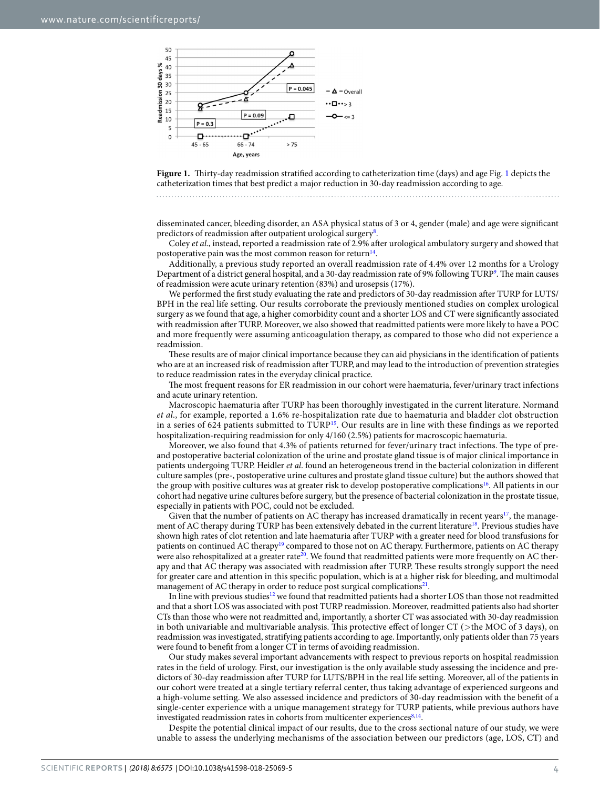

<span id="page-3-0"></span>Figure [1](#page-3-0). Thirty-day readmission stratified according to catheterization time (days) and age Fig. 1 depicts the catheterization times that best predict a major reduction in 30-day readmission according to age.

disseminated cancer, bleeding disorder, an ASA physical status of 3 or 4, gender (male) and age were signifcant predictors of readmission after outpatient urological surgery<sup>[8](#page-5-7)</sup>.

Coley *et al*., instead, reported a readmission rate of 2.9% afer urological ambulatory surgery and showed that postoperative pain was the most common reason for return<sup>14</sup>.

Additionally, a previous study reported an overall readmission rate of 4.4% over 12 months for a Urology Department of a district general hospital, and a 30-day readmission rate of 9% following TURP<sup>9</sup>. The main causes of readmission were acute urinary retention (83%) and urosepsis (17%).

We performed the first study evaluating the rate and predictors of 30-day readmission after TURP for LUTS/ BPH in the real life setting. Our results corroborate the previously mentioned studies on complex urological surgery as we found that age, a higher comorbidity count and a shorter LOS and CT were signifcantly associated with readmission afer TURP. Moreover, we also showed that readmitted patients were more likely to have a POC and more frequently were assuming anticoagulation therapy, as compared to those who did not experience a readmission.

These results are of major clinical importance because they can aid physicians in the identification of patients who are at an increased risk of readmission afer TURP, and may lead to the introduction of prevention strategies to reduce readmission rates in the everyday clinical practice.

The most frequent reasons for ER readmission in our cohort were haematuria, fever/urinary tract infections and acute urinary retention.

Macroscopic haematuria afer TURP has been thoroughly investigated in the current literature. Normand *et al*., for example, reported a 1.6% re-hospitalization rate due to haematuria and bladder clot obstruction in a series of 624 patients submitted to  $\text{URP}^{15}$ . Our results are in line with these findings as we reported hospitalization-requiring readmission for only 4/160 (2.5%) patients for macroscopic haematuria.

Moreover, we also found that 4.3% of patients returned for fever/urinary tract infections. The type of preand postoperative bacterial colonization of the urine and prostate gland tissue is of major clinical importance in patients undergoing TURP. Heidler *et al*. found an heterogeneous trend in the bacterial colonization in diferent culture samples (pre-, postoperative urine cultures and prostate gland tissue culture) but the authors showed that the group with positive cultures was at greater risk to develop postoperative complications<sup>16</sup>. All patients in our cohort had negative urine cultures before surgery, but the presence of bacterial colonization in the prostate tissue, especially in patients with POC, could not be excluded.

Given that the number of patients on AC therapy has increased dramatically in recent years<sup>[17](#page-5-16)</sup>, the management of AC therapy during TURP has been extensively debated in the current literature<sup>18</sup>. Previous studies have shown high rates of clot retention and late haematuria afer TURP with a greater need for blood transfusions for patients on continued AC therapy<sup>19</sup> compared to those not on AC therapy. Furthermore, patients on AC therapy were also rehospitalized at a greater rate<sup>20</sup>. We found that readmitted patients were more frequently on AC therapy and that AC therapy was associated with readmission after TURP. These results strongly support the need for greater care and attention in this specifc population, which is at a higher risk for bleeding, and multimodal management of AC therapy in order to reduce post surgical complications<sup>21</sup>.

In line with previous studies<sup>[12](#page-5-11)</sup> we found that readmitted patients had a shorter LOS than those not readmitted and that a short LOS was associated with post TURP readmission. Moreover, readmitted patients also had shorter CTs than those who were not readmitted and, importantly, a shorter CT was associated with 30-day readmission in both univariable and multivariable analysis. This protective effect of longer CT ( $>$ the MOC of 3 days), on readmission was investigated, stratifying patients according to age. Importantly, only patients older than 75 years were found to beneft from a longer CT in terms of avoiding readmission.

Our study makes several important advancements with respect to previous reports on hospital readmission rates in the feld of urology. First, our investigation is the only available study assessing the incidence and predictors of 30-day readmission afer TURP for LUTS/BPH in the real life setting. Moreover, all of the patients in our cohort were treated at a single tertiary referral center, thus taking advantage of experienced surgeons and a high-volume setting. We also assessed incidence and predictors of 30-day readmission with the beneft of a single-center experience with a unique management strategy for TURP patients, while previous authors have investigated readmission rates in cohorts from multicenter experiences<sup>8,14</sup>.

Despite the potential clinical impact of our results, due to the cross sectional nature of our study, we were unable to assess the underlying mechanisms of the association between our predictors (age, LOS, CT) and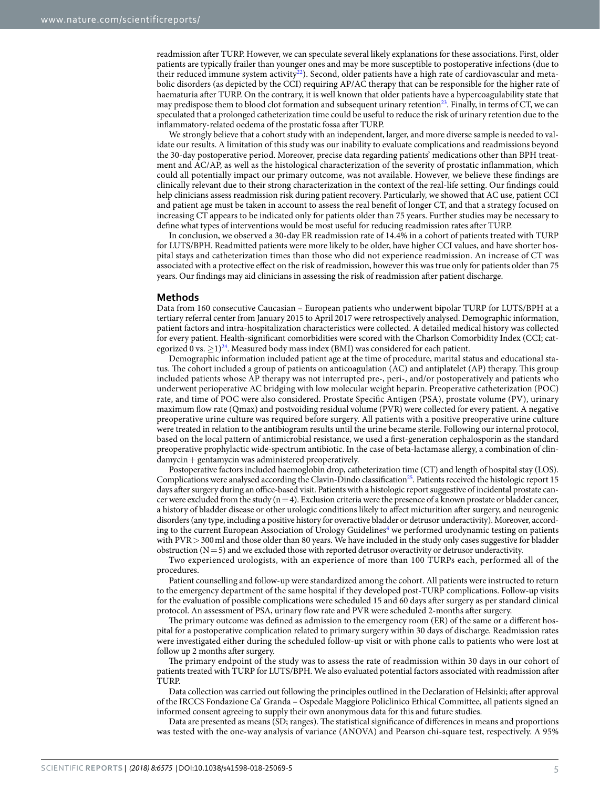readmission afer TURP. However, we can speculate several likely explanations for these associations. First, older patients are typically frailer than younger ones and may be more susceptible to postoperative infections (due to their reduced immune system activity<sup>22</sup>). Second, older patients have a high rate of cardiovascular and metabolic disorders (as depicted by the CCI) requiring AP/AC therapy that can be responsible for the higher rate of haematuria afer TURP. On the contrary, it is well known that older patients have a hypercoagulability state that may predispose them to blood clot formation and subsequent urinary retention<sup>23</sup>. Finally, in terms of CT, we can speculated that a prolonged catheterization time could be useful to reduce the risk of urinary retention due to the infammatory-related oedema of the prostatic fossa afer TURP.

We strongly believe that a cohort study with an independent, larger, and more diverse sample is needed to validate our results. A limitation of this study was our inability to evaluate complications and readmissions beyond the 30-day postoperative period. Moreover, precise data regarding patients' medications other than BPH treatment and AC/AP, as well as the histological characterization of the severity of prostatic infammation, which could all potentially impact our primary outcome, was not available. However, we believe these fndings are clinically relevant due to their strong characterization in the context of the real-life setting. Our fndings could help clinicians assess readmission risk during patient recovery. Particularly, we showed that AC use, patient CCI and patient age must be taken in account to assess the real beneft of longer CT, and that a strategy focused on increasing CT appears to be indicated only for patients older than 75 years. Further studies may be necessary to defne what types of interventions would be most useful for reducing readmission rates afer TURP.

In conclusion, we observed a 30-day ER readmission rate of 14.4% in a cohort of patients treated with TURP for LUTS/BPH. Readmitted patients were more likely to be older, have higher CCI values, and have shorter hospital stays and catheterization times than those who did not experience readmission. An increase of CT was associated with a protective efect on the risk of readmission, however this was true only for patients older than 75 years. Our fndings may aid clinicians in assessing the risk of readmission afer patient discharge.

#### **Methods**

Data from 160 consecutive Caucasian – European patients who underwent bipolar TURP for LUTS/BPH at a tertiary referral center from January 2015 to April 2017 were retrospectively analysed. Demographic information, patient factors and intra-hospitalization characteristics were collected. A detailed medical history was collected for every patient. Health-signifcant comorbidities were scored with the Charlson Comorbidity Index (CCI; categorized 0 vs.  $\geq$  1)<sup>24</sup>. Measured body mass index (BMI) was considered for each patient.

Demographic information included patient age at the time of procedure, marital status and educational status. The cohort included a group of patients on anticoagulation (AC) and antiplatelet (AP) therapy. This group included patients whose AP therapy was not interrupted pre-, peri-, and/or postoperatively and patients who underwent perioperative AC bridging with low molecular weight heparin. Preoperative catheterization (POC) rate, and time of POC were also considered. Prostate Specifc Antigen (PSA), prostate volume (PV), urinary maximum fow rate (Qmax) and postvoiding residual volume (PVR) were collected for every patient. A negative preoperative urine culture was required before surgery. All patients with a positive preoperative urine culture were treated in relation to the antibiogram results until the urine became sterile. Following our internal protocol, based on the local pattern of antimicrobial resistance, we used a frst-generation cephalosporin as the standard preoperative prophylactic wide-spectrum antibiotic. In the case of beta-lactamase allergy, a combination of clindamycin+gentamycin was administered preoperatively.

Postoperative factors included haemoglobin drop, catheterization time (CT) and length of hospital stay (LOS). Complications were analysed according the Clavin-Dindo classification<sup>25</sup>. Patients received the histologic report 15 days after surgery during an office-based visit. Patients with a histologic report suggestive of incidental prostate cancer were excluded from the study ( $n=4$ ). Exclusion criteria were the presence of a known prostate or bladder cancer, a history of bladder disease or other urologic conditions likely to afect micturition afer surgery, and neurogenic disorders (any type, including a positive history for overactive bladder or detrusor underactivity). Moreover, accord-ing to the current European Association of Urology Guidelines<sup>[4](#page-5-3)</sup> we performed urodynamic testing on patients with PVR > 300 ml and those older than 80 years. We have included in the study only cases suggestive for bladder obstruction ( $N=5$ ) and we excluded those with reported detrusor overactivity or detrusor underactivity.

Two experienced urologists, with an experience of more than 100 TURPs each, performed all of the procedures.

Patient counselling and follow-up were standardized among the cohort. All patients were instructed to return to the emergency department of the same hospital if they developed post-TURP complications. Follow-up visits for the evaluation of possible complications were scheduled 15 and 60 days afer surgery as per standard clinical protocol. An assessment of PSA, urinary flow rate and PVR were scheduled 2-months after surgery.

The primary outcome was defined as admission to the emergency room (ER) of the same or a different hospital for a postoperative complication related to primary surgery within 30 days of discharge. Readmission rates were investigated either during the scheduled follow-up visit or with phone calls to patients who were lost at follow up 2 months after surgery.

The primary endpoint of the study was to assess the rate of readmission within 30 days in our cohort of patients treated with TURP for LUTS/BPH. We also evaluated potential factors associated with readmission afer TURP.

Data collection was carried out following the principles outlined in the Declaration of Helsinki; afer approval of the IRCCS Fondazione Ca' Granda – Ospedale Maggiore Policlinico Ethical Committee, all patients signed an informed consent agreeing to supply their own anonymous data for this and future studies.

Data are presented as means (SD; ranges). The statistical significance of differences in means and proportions was tested with the one-way analysis of variance (ANOVA) and Pearson chi-square test, respectively. A 95%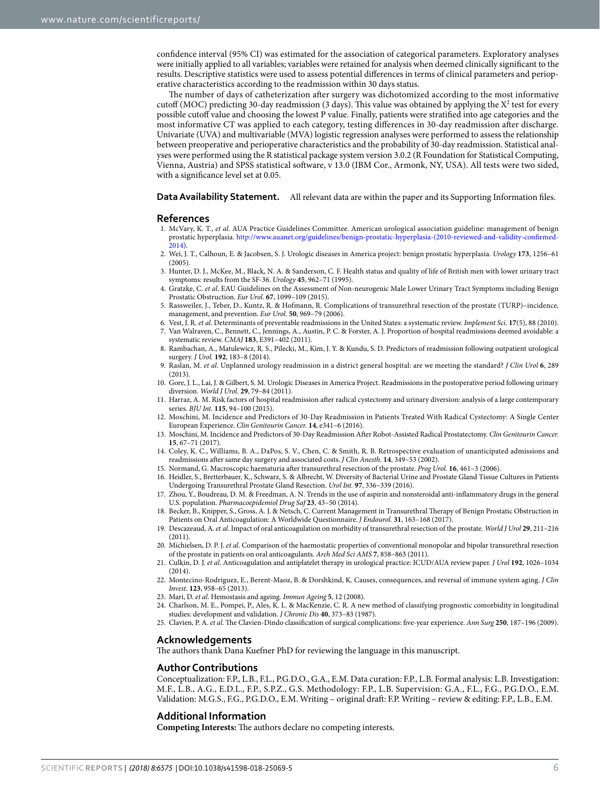confdence interval (95% CI) was estimated for the association of categorical parameters. Exploratory analyses were initially applied to all variables; variables were retained for analysis when deemed clinically signifcant to the results. Descriptive statistics were used to assess potential diferences in terms of clinical parameters and perioperative characteristics according to the readmission within 30 days status.

The number of days of catheterization after surgery was dichotomized according to the most informative cutoff (MOC) predicting 30-day readmission (3 days). This value was obtained by applying the  $X^2$  test for every possible cutoff value and choosing the lowest P value. Finally, patients were stratified into age categories and the most informative CT was applied to each category, testing diferences in 30-day readmission afer discharge. Univariate (UVA) and multivariable (MVA) logistic regression analyses were performed to assess the relationship between preoperative and perioperative characteristics and the probability of 30-day readmission. Statistical analyses were performed using the R statistical package system version 3.0.2 (R Foundation for Statistical Computing, Vienna, Austria) and SPSS statistical sofware, v 13.0 (IBM Cor., Armonk, NY, USA). All tests were two sided, with a signifcance level set at 0.05.

#### **Data Availability Statement.** All relevant data are within the paper and its Supporting Information fles.

#### **References**

- <span id="page-5-0"></span>1. McVary, K. T., *et al*. AUA Practice Guidelines Committee. American urological association guideline: management of benign prostatic hyperplasia. [http://www.auanet.org/guidelines/benign-prostatic-hyperplasia-\(2010-reviewed-and-validity-confrmed-](http://www.auanet.org/guidelines/benign-prostatic-hyperplasia-(2010-reviewed-and-validity-confirmed-2014)[2014](http://www.auanet.org/guidelines/benign-prostatic-hyperplasia-(2010-reviewed-and-validity-confirmed-2014)).
- <span id="page-5-1"></span>2. Wei, J. T., Calhoun, E. & Jacobsen, S. J. Urologic diseases in America project: benign prostatic hyperplasia. *Urology* **173**, 1256–61 (2005).
- <span id="page-5-2"></span>3. Hunter, D. J., McKee, M., Black, N. A. & Sanderson, C. F. Health status and quality of life of British men with lower urinary tract symptoms: results from the SF-36. *Urology* **45**, 962–71 (1995).
- <span id="page-5-3"></span>4. Gratzke, C. *et al*. EAU Guidelines on the Assessment of Non-neurogenic Male Lower Urinary Tract Symptoms including Benign Prostatic Obstruction. *Eur Urol.* **67**, 1099–109 (2015).
- <span id="page-5-4"></span>5. Rassweiler, J., Teber, D., Kuntz, R. & Hofmann, R. Complications of transurethral resection of the prostate (TURP)–incidence, management, and prevention. *Eur Urol.* **50**, 969–79 (2006).
- <span id="page-5-6"></span><span id="page-5-5"></span>6. Vest, J. R. *et al*. Determinants of preventable readmissions in the United States: a systematic review. *Implement Sci.* **17**(5), 88 (2010). 7. Van Walraven, C., Bennett, C., Jennings, A., Austin, P. C. & Forster, A. J. Proportion of hospital readmissions deemed avoidable: a systematic review. *CMAJ* **183**, E391–402 (2011).
- <span id="page-5-7"></span>8. Rambachan, A., Matulewicz, R. S., Pilecki, M., Kim, J. Y. & Kundu, S. D. Predictors of readmission following outpatient urological surgery. *J Urol.* **192**, 183–8 (2014).
- <span id="page-5-8"></span>9. Raslan, M. *et al*. Unplanned urology readmission in a district general hospital: are we meeting the standard? *J Clin Urol* **6**, 289 (2013).
- <span id="page-5-9"></span>10. Gore, J. L., Lai, J. & Gilbert, S. M. Urologic Diseases in America Project. Readmissions in the postoperative period following urinary diversion. *World J Urol.* **29**, 79–84 (2011).
- <span id="page-5-10"></span>11. Harraz, A. M. Risk factors of hospital readmission afer radical cystectomy and urinary diversion: analysis of a large contemporary series. *BJU Int.* **115**, 94–100 (2015).
- <span id="page-5-11"></span>12. Moschini, M. Incidence and Predictors of 30-Day Readmission in Patients Treated With Radical Cystectomy: A Single Center European Experience. *Clin Genitourin Cancer.* **14**, e341–6 (2016).
- <span id="page-5-12"></span>13. Moschini, M. Incidence and Predictors of 30-Day Readmission Afer Robot-Assisted Radical Prostatectomy. *Clin Genitourin Cancer.* **15**, 67–71 (2017).
- <span id="page-5-13"></span>14. Coley, K. C., Williams, B. A., DaPos, S. V., Chen, C. & Smith, R. B. Retrospective evaluation of unanticipated admissions and readmissions afer same day surgery and associated costs. *J Clin Anesth.* **14**, 349–53 (2002).
- <span id="page-5-14"></span>15. Normand, G. Macroscopic haematuria afer transurethral resection of the prostate. *Prog Urol.* **16**, 461–3 (2006).
- <span id="page-5-15"></span>16. Heidler, S., Bretterbauer, K., Schwarz, S. & Albrecht, W. Diversity of Bacterial Urine and Prostate Gland Tissue Cultures in Patients Undergoing Transurethral Prostate Gland Resection. *Urol Int.* **97**, 336–339 (2016).
- <span id="page-5-16"></span>17. Zhou, Y., Boudreau, D. M. & Freedman, A. N. Trends in the use of aspirin and nonsteroidal anti-infammatory drugs in the general U.S. population. *Pharmacoepidemiol Drug Saf* **23**, 43–50 (2014).
- <span id="page-5-17"></span>18. Becker, B., Knipper, S., Gross, A. J. & Netsch, C. Current Management in Transurethral Therapy of Benign Prostatic Obstruction in Patients on Oral Anticoagulation: A Worldwide Questionnaire. *J Endourol.* **31**, 163–168 (2017).
- <span id="page-5-18"></span>19. Descazeaud, A. *et al*. Impact of oral anticoagulation on morbidity of transurethral resection of the prostate. *World J Urol* **29**, 211–216 (2011).
- <span id="page-5-19"></span>20. Michielsen, D. P. J. *et al*. Comparison of the haemostatic properties of conventional monopolar and bipolar transurethral resection of the prostate in patients on oral anticoagulants. *Arch Med Sci AMS* **7**, 858–863 (2011).
- <span id="page-5-20"></span>21. Culkin, D. J. *et al*. Anticoagulation and antiplatelet therapy in urological practice: ICUD/AUA review paper. *J Urol* **192**, 1026–1034 (2014).
- <span id="page-5-21"></span>22. Montecino-Rodriguez, E., Berent-Maoz, B. & Dorshkind, K. Causes, consequences, and reversal of immune system aging. *J Clin Invest.* **123**, 958–65 (2013).
- <span id="page-5-22"></span>23. Mari, D. *et al*. Hemostasis and ageing. *Immun Ageing* **5**, 12 (2008).
- <span id="page-5-23"></span>24. Charlson, M. E., Pompei, P., Ales, K. L. & MacKenzie, C. R. A new method of classifying prognostic comorbidity in longitudinal studies: development and validation. *J Chronic Dis* **40**, 373–83 (1987).
- <span id="page-5-24"></span>25. Clavien, P. A. *et al.* The Clavien-Dindo classification of surgical complications: five-year experience. *Ann Surg* 250, 187-196 (2009).

#### **Acknowledgements**

The authors thank Dana Kuefner PhD for reviewing the language in this manuscript.

#### **Author Contributions**

Conceptualization: F.P., L.B., F.L., P.G.D.O., G.A., E.M. Data curation: F.P., L.B. Formal analysis: L.B. Investigation: M.F., L.B., A.G., E.D.L., F.P., S.P.Z., G.S. Methodology: F.P., L.B. Supervision: G.A., F.L., F.G., P.G.D.O., E.M. Validation: M.G.S., F.G., P.G.D.O., E.M. Writing – original draf: F.P. Writing – review & editing: F.P., L.B., E.M.

#### **Additional Information**

**Competing Interests:** The authors declare no competing interests.